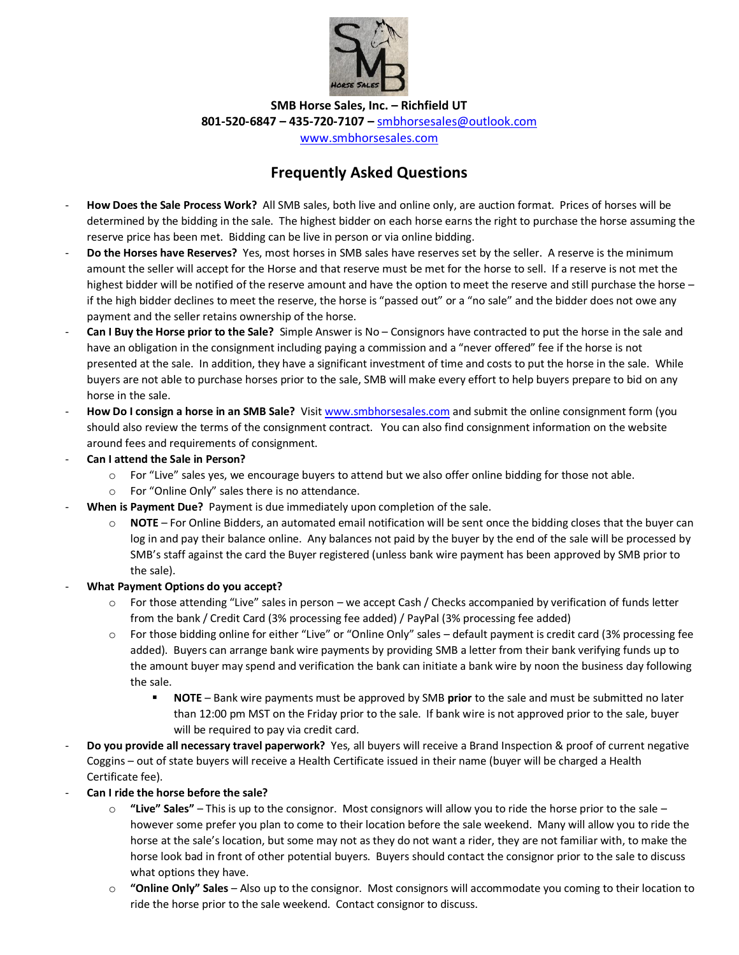

**SMB Horse Sales, Inc. – Richfield UT 801-520-6847 – 435-720-7107 –** [smbhorsesales@outlook.com](mailto:smbhorsesales@outlook.com)

[www.smbhorsesales.com](http://www.smbhorsesales.com/)

## **Frequently Asked Questions**

- **How Does the Sale Process Work?** All SMB sales, both live and online only, are auction format. Prices of horses will be determined by the bidding in the sale. The highest bidder on each horse earns the right to purchase the horse assuming the reserve price has been met. Bidding can be live in person or via online bidding.
- **Do the Horses have Reserves?** Yes, most horses in SMB sales have reserves set by the seller. A reserve is the minimum amount the seller will accept for the Horse and that reserve must be met for the horse to sell. If a reserve is not met the highest bidder will be notified of the reserve amount and have the option to meet the reserve and still purchase the horse – if the high bidder declines to meet the reserve, the horse is "passed out" or a "no sale" and the bidder does not owe any payment and the seller retains ownership of the horse.
- **Can I Buy the Horse prior to the Sale?** Simple Answer is No Consignors have contracted to put the horse in the sale and have an obligation in the consignment including paying a commission and a "never offered" fee if the horse is not presented at the sale. In addition, they have a significant investment of time and costs to put the horse in the sale. While buyers are not able to purchase horses prior to the sale, SMB will make every effort to help buyers prepare to bid on any horse in the sale.
- **How Do I consign a horse in an SMB Sale?** Visit [www.smbhorsesales.com](http://www.smbhorsesales.com/) and submit the online consignment form (you should also review the terms of the consignment contract. You can also find consignment information on the website around fees and requirements of consignment.
- **Can I attend the Sale in Person?** 
	- o For "Live" sales yes, we encourage buyers to attend but we also offer online bidding for those not able.
	- o For "Online Only" sales there is no attendance.
- **When is Payment Due?** Payment is due immediately upon completion of the sale.
	- o **NOTE** For Online Bidders, an automated email notification will be sent once the bidding closes that the buyer can log in and pay their balance online. Any balances not paid by the buyer by the end of the sale will be processed by SMB's staff against the card the Buyer registered (unless bank wire payment has been approved by SMB prior to the sale).
- **What Payment Options do you accept?**
	- o For those attending "Live" sales in person we accept Cash / Checks accompanied by verification of funds letter from the bank / Credit Card (3% processing fee added) / PayPal (3% processing fee added)
	- o For those bidding online for either "Live" or "Online Only" sales default payment is credit card (3% processing fee added). Buyers can arrange bank wire payments by providing SMB a letter from their bank verifying funds up to the amount buyer may spend and verification the bank can initiate a bank wire by noon the business day following the sale.
		- **NOTE** Bank wire payments must be approved by SMB **prior** to the sale and must be submitted no later than 12:00 pm MST on the Friday prior to the sale. If bank wire is not approved prior to the sale, buyer will be required to pay via credit card.
- **Do you provide all necessary travel paperwork?** Yes, all buyers will receive a Brand Inspection & proof of current negative Coggins – out of state buyers will receive a Health Certificate issued in their name (buyer will be charged a Health Certificate fee).
- **Can I ride the horse before the sale?**
	- o **"Live" Sales"** This is up to the consignor. Most consignors will allow you to ride the horse prior to the sale however some prefer you plan to come to their location before the sale weekend. Many will allow you to ride the horse at the sale's location, but some may not as they do not want a rider, they are not familiar with, to make the horse look bad in front of other potential buyers. Buyers should contact the consignor prior to the sale to discuss what options they have.
	- o **"Online Only" Sales** Also up to the consignor. Most consignors will accommodate you coming to their location to ride the horse prior to the sale weekend. Contact consignor to discuss.